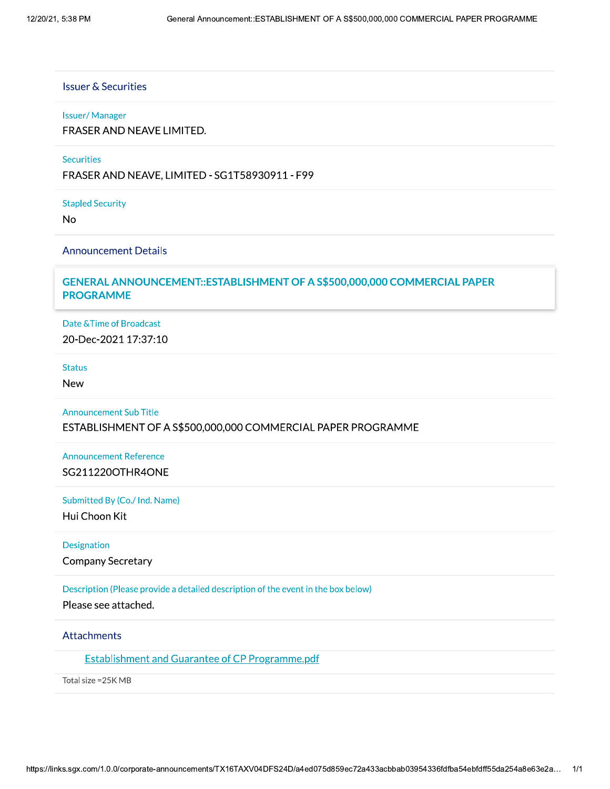#### **Issuer & Securities**

#### **Issuer/Manager**

FRASER AND NEAVE LIMITED.

### **Securities**

FRASER AND NEAVE, LIMITED - SG1T58930911 - F99

**Stapled Security** 

 $No$ 

#### **Announcement Details**

# GENERAL ANNOUNCEMENT::ESTABLISHMENT OF A S\$500,000,000 COMMERCIAL PAPER **PROGRAMME**

Date & Time of Broadcast 20-Dec-2021 17:37:10

### **Status**

**New** 

**Announcement Sub Title** ESTABLISHMENT OF A S\$500,000,000 COMMERCIAL PAPER PROGRAMME

**Announcement Reference** SG211220OTHR4ONE

Submitted By (Co./ Ind. Name)

Hui Choon Kit

Designation

**Company Secretary** 

Description (Please provide a detailed description of the event in the box below)

Please see attached.

# Attachments

**Establishment and Guarantee of CP Programme.pdf** 

Total size = 25K MB